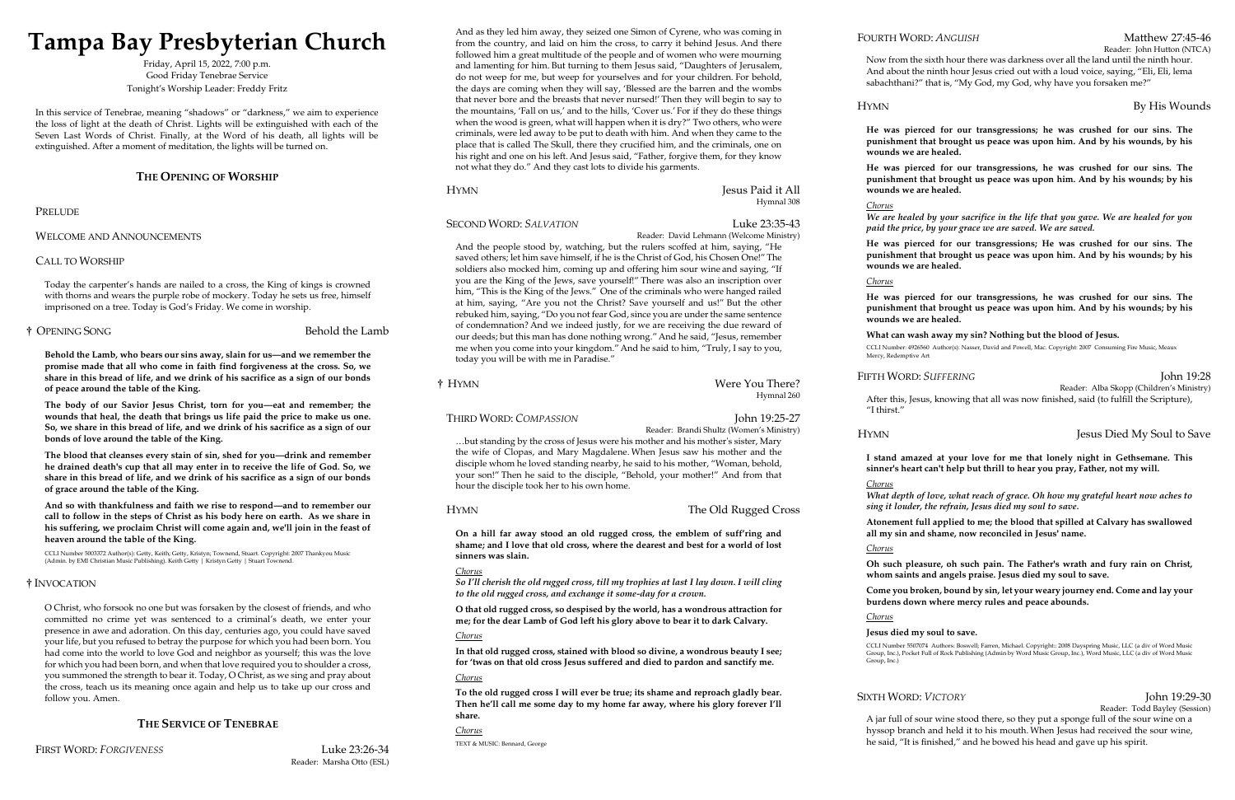# **Tampa Bay Presbyterian Church**

Friday, April 15, 2022, 7:00 p.m. Good Friday Tenebrae Service Tonight's Worship Leader: Freddy Fritz

In this service of Tenebrae, meaning "shadows" or "darkness," we aim to experience the loss of light at the death of Christ. Lights will be extinguished with each of the Seven Last Words of Christ. Finally, at the Word of his death, all lights will be extinguished. After a moment of meditation, the lights will be turned on.

## **THE OPENING OF WORSHIP**

#### PRELUDE

WELCOME AND ANNOUNCEMENTS

#### CALL TO WORSHIP

Today the carpenter's hands are nailed to a cross, the King of kings is crowned with thorns and wears the purple robe of mockery. Today he sets us free, himself imprisoned on a tree. Today is God's Friday. We come in worship.

#### † OPENING SONG Behold the Lamb

**Behold the Lamb, who bears our sins away, slain for us—and we remember the promise made that all who come in faith find forgiveness at the cross. So, we share in this bread of life, and we drink of his sacrifice as a sign of our bonds of peace around the table of the King.**

**The body of our Savior Jesus Christ, torn for you—eat and remember; the wounds that heal, the death that brings us life paid the price to make us one. So, we share in this bread of life, and we drink of his sacrifice as a sign of our bonds of love around the table of the King.**

**The blood that cleanses every stain of sin, shed for you—drink and remember he drained death's cup that all may enter in to receive the life of God. So, we share in this bread of life, and we drink of his sacrifice as a sign of our bonds of grace around the table of the King.**

**And so with thankfulness and faith we rise to respond—and to remember our call to follow in the steps of Christ as his body here on earth. As we share in his suffering, we proclaim Christ will come again and, we'll join in the feast of heaven around the table of the King.**

CCLI Number 5003372 Author(s): Getty, Keith; Getty, Kristyn; Townend, Stuart. Copyright: 2007 Thankyou Music (Admin. by EMI Christian Music Publishing). Keith Getty | Kristyn Getty | Stuart Townend.

#### † INVOCATION

O Christ, who forsook no one but was forsaken by the closest of friends, and who committed no crime yet was sentenced to a criminal's death, we enter your presence in awe and adoration. On this day, centuries ago, you could have saved your life, but you refused to betray the purpose for which you had been born. You had come into the world to love God and neighbor as yourself; this was the love for which you had been born, and when that love required you to shoulder a cross, you summoned the strength to bear it. Today, O Christ, as we sing and pray about the cross, teach us its meaning once again and help us to take up our cross and follow you. Amen.

#### **THE SERVICE OF TENEBRAE**

Reader: Marsha Otto (ESL)

And as they led him away, they seized one Simon of Cyrene, who was coming in from the country, and laid on him the cross, to carry it behind Jesus. And there followed him a great multitude of the people and of women who were mourning and lamenting for him. But turning to them Jesus said, "Daughters of Jerusalem, do not weep for me, but weep for yourselves and for your children. For behold, the days are coming when they will say, 'Blessed are the barren and the wombs that never bore and the breasts that never nursed!' Then they will begin to say to the mountains, 'Fall on us,' and to the hills, 'Cover us.' For if they do these things when the wood is green, what will happen when it is dry?" Two others, who were criminals, were led away to be put to death with him. And when they came to the place that is called The Skull, there they crucified him, and the criminals, one on his right and one on his left. And Jesus said, "Father, forgive them, for they know not what they do." And they cast lots to divide his garments.

HYMN Jesus Paid it All

Hymnal 308

## SECOND WORD: *SALVATION* Luke 23:35-43

Reader: David Lehmann (Welcome Ministry)

And the people stood by, watching, but the rulers scoffed at him, saying, "He saved others; let him save himself, if he is the Christ of God, his Chosen One!" The soldiers also mocked him, coming up and offering him sour wine and saying, "If you are the King of the Jews, save yourself!" There was also an inscription over him, "This is the King of the Jews." One of the criminals who were hanged railed at him, saying, "Are you not the Christ? Save yourself and us!" But the other rebuked him, saying, "Do you not fear God, since you are under the same sentence of condemnation? And we indeed justly, for we are receiving the due reward of our deeds; but this man has done nothing wrong." And he said, "Jesus, remember me when you come into your kingdom." And he said to him, "Truly, I say to you, today you will be with me in Paradise."

† HYMN Were You There?

Hymnal 260

#### THIRD WORD: *COMPASSION* John 19:25-27

Reader: Brandi Shultz (Women's Ministry)

…but standing by the cross of Jesus were his mother and his mother's sister, Mary the wife of Clopas, and Mary Magdalene. When Jesus saw his mother and the disciple whom he loved standing nearby, he said to his mother, "Woman, behold, your son!" Then he said to the disciple, "Behold, your mother!" And from that hour the disciple took her to his own home.

HYMN The Old Rugged Cross

**On a hill far away stood an old rugged cross, the emblem of suff'ring and shame; and I love that old cross, where the dearest and best for a world of lost sinners was slain.**

#### *Chorus*

*So I'll cherish the old rugged cross, till my trophies at last I lay down. I will cling to the old rugged cross, and exchange it some-day for a crown.*

**O that old rugged cross, so despised by the world, has a wondrous attraction for me; for the dear Lamb of God left his glory above to bear it to dark Calvary.**

#### *Chorus*

**In that old rugged cross, stained with blood so divine, a wondrous beauty I see; for 'twas on that old cross Jesus suffered and died to pardon and sanctify me.**

## *Chorus*

**To the old rugged cross I will ever be true; its shame and reproach gladly bear. Then he'll call me some day to my home far away, where his glory forever I'll share.**

*Chorus*

TEXT & MUSIC: Bennard, George

Now from the sixth hour there was darkness over all the land until the ninth hour. And about the ninth hour Jesus cried out with a loud voice, saying, "Eli, Eli, lema sabachthani?" that is, "My God, my God, why have you forsaken me?"

HYMN By His Wounds

**He was pierced for our transgressions; he was crushed for our sins. The punishment that brought us peace was upon him. And by his wounds, by his wounds we are healed.**

**He was pierced for our transgressions, he was crushed for our sins. The punishment that brought us peace was upon him. And by his wounds; by his wounds we are healed.**

*Chorus We are healed by your sacrifice in the life that you gave. We are healed for you paid the price, by your grace we are saved. We are saved.*

**He was pierced for our transgressions; He was crushed for our sins. The punishment that brought us peace was upon him. And by his wounds; by his wounds we are healed.**

*Chorus*

**He was pierced for our transgressions, he was crushed for our sins. The punishment that brought us peace was upon him. And by his wounds; by his wounds we are healed.**

Mercy, Redemptive Art

#### **What can wash away my sin? Nothing but the blood of Jesus.**

CCLI Number: 4926560 Author(s): Nasser, David and Powell, Mac. Copyright: 2007 Consuming Fire Music, Meaux

FIFTH WORD: *SUFFERING* John 19:28

Reader: Alba Skopp (Children's Ministry) After this, Jesus, knowing that all was now finished, said (to fulfill the Scripture),

"I thirst."

HYMN Jesus Died My Soul to Save

**I stand amazed at your love for me that lonely night in Gethsemane. This sinner's heart can't help but thrill to hear you pray, Father, not my will.**

*Chorus*

*What depth of love, what reach of grace. Oh how my grateful heart now aches to sing it louder, the refrain, Jesus died my soul to save.*

**Atonement full applied to me; the blood that spilled at Calvary has swallowed all my sin and shame, now reconciled in Jesus' name.**

*Chorus*

**Oh such pleasure, oh such pain. The Father's wrath and fury rain on Christ, whom saints and angels praise. Jesus died my soul to save.**

**Come you broken, bound by sin, let your weary journey end. Come and lay your burdens down where mercy rules and peace abounds.**

*Chorus*

## **Jesus died my soul to save.**

CCLI Number 5507074 Authors: Boswell; Farren, Michael. Copyright:: 2008 Dayspring Music, LLC (a div of Word Music Group, Inc.), Pocket Full of Rock Publishing (Admin by Word Music Group, Inc.), Word Music, LLC (a div of Word Music

Group, Inc.)

SIXTH WORD: *VICTORY* John 19:29-30 Reader: Todd Bayley (Session)

A jar full of sour wine stood there, so they put a sponge full of the sour wine on a hyssop branch and held it to his mouth. When Jesus had received the sour wine, he said, "It is finished," and he bowed his head and gave up his spirit.